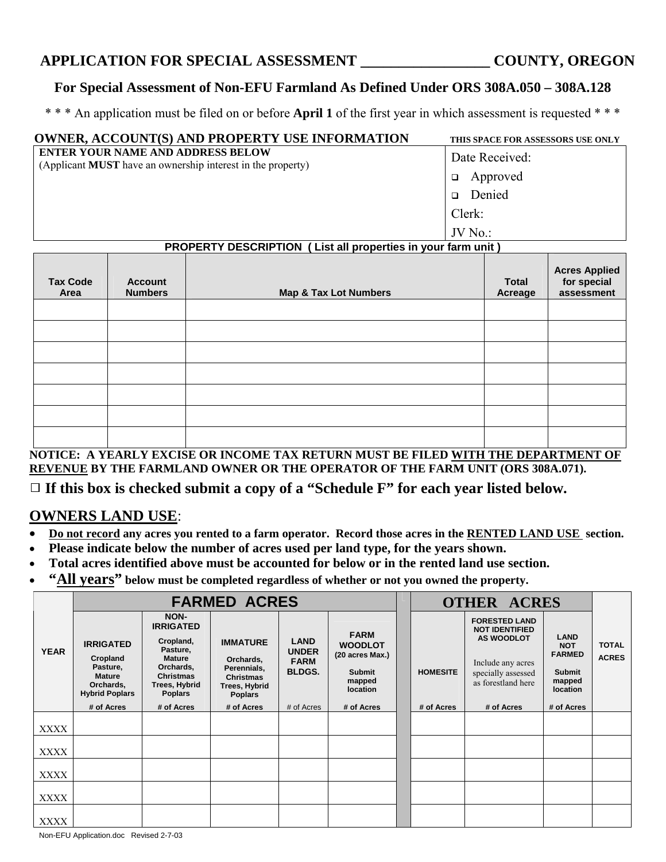# **APPLICATION FOR SPECIAL ASSESSMENT \_\_\_\_\_\_\_\_\_\_\_\_\_\_\_\_\_ COUNTY, OREGON**

#### **For Special Assessment of Non-EFU Farmland As Defined Under ORS 308A.050 – 308A.128**

\* \* \* An application must be filed on or before **April 1** of the first year in which assessment is requested \* \* \*

| <b>OWNER, ACCOUNT(S) AND PROPERTY USE INFORMATION</b>                                                          | THIS SPACE FOR ASSESSORS USE ONLY |
|----------------------------------------------------------------------------------------------------------------|-----------------------------------|
| <b>ENTER YOUR NAME AND ADDRESS BELOW</b><br>(Applicant <b>MUST</b> have an ownership interest in the property) | Date Received:                    |
|                                                                                                                | Approved<br>$\Box$                |
|                                                                                                                | Denied<br>$\Box$                  |
|                                                                                                                | Clerk:                            |
|                                                                                                                | $JV$ No.:                         |

### **PROPERTY DESCRIPTION ( List all properties in your farm unit )**

| <b>Tax Code</b><br>Area | <b>Account</b><br><b>Numbers</b> | <b>Map &amp; Tax Lot Numbers</b> | <b>Total</b><br>Acreage | <b>Acres Applied<br/>for special</b><br>assessment |
|-------------------------|----------------------------------|----------------------------------|-------------------------|----------------------------------------------------|
|                         |                                  |                                  |                         |                                                    |
|                         |                                  |                                  |                         |                                                    |
|                         |                                  |                                  |                         |                                                    |
|                         |                                  |                                  |                         |                                                    |
|                         |                                  |                                  |                         |                                                    |
|                         |                                  |                                  |                         |                                                    |
|                         |                                  |                                  |                         |                                                    |

**NOTICE: A YEARLY EXCISE OR INCOME TAX RETURN MUST BE FILED WITH THE DEPARTMENT OF REVENUE BY THE FARMLAND OWNER OR THE OPERATOR OF THE FARM UNIT (ORS 308A.071).** 

# □ If this box is checked submit a copy of a "Schedule F" for each year listed below.

## **OWNERS LAND USE**:

- **Do not record any acres you rented to a farm operator. Record those acres in the RENTED LAND USE section.**
- **Please indicate below the number of acres used per land type, for the years shown.**
- **Total acres identified above must be accounted for below or in the rented land use section.**
- **"All years" below must be completed regardless of whether or not you owned the property.**

|             | <b>FARMED ACRES</b>                                                                             |                                                                                                                                        |                                                                                                    |                                                             |                                                                                         |  | <b>OTHER ACRES</b> |                                                                                                                                     |                                                                                   |                              |
|-------------|-------------------------------------------------------------------------------------------------|----------------------------------------------------------------------------------------------------------------------------------------|----------------------------------------------------------------------------------------------------|-------------------------------------------------------------|-----------------------------------------------------------------------------------------|--|--------------------|-------------------------------------------------------------------------------------------------------------------------------------|-----------------------------------------------------------------------------------|------------------------------|
| <b>YEAR</b> | <b>IRRIGATED</b><br>Cropland<br>Pasture,<br><b>Mature</b><br>Orchards,<br><b>Hybrid Poplars</b> | NON-<br><b>IRRIGATED</b><br>Cropland,<br>Pasture,<br><b>Mature</b><br>Orchards,<br><b>Christmas</b><br>Trees, Hybrid<br><b>Poplars</b> | <b>IMMATURE</b><br>Orchards,<br>Perennials,<br><b>Christmas</b><br>Trees, Hybrid<br><b>Poplars</b> | <b>LAND</b><br><b>UNDER</b><br><b>FARM</b><br><b>BLDGS.</b> | <b>FARM</b><br><b>WOODLOT</b><br>(20 acres Max.)<br><b>Submit</b><br>mapped<br>location |  | <b>HOMESITE</b>    | <b>FORESTED LAND</b><br><b>NOT IDENTIFIED</b><br><b>AS WOODLOT</b><br>Include any acres<br>specially assessed<br>as forestland here | <b>LAND</b><br><b>NOT</b><br><b>FARMED</b><br><b>Submit</b><br>mapped<br>location | <b>TOTAL</b><br><b>ACRES</b> |
|             | # of Acres                                                                                      | # of Acres                                                                                                                             | # of Acres                                                                                         | # of Acres                                                  | # of Acres                                                                              |  | # of Acres         | # of Acres                                                                                                                          | # of Acres                                                                        |                              |
| <b>XXXX</b> |                                                                                                 |                                                                                                                                        |                                                                                                    |                                                             |                                                                                         |  |                    |                                                                                                                                     |                                                                                   |                              |
| XXXX        |                                                                                                 |                                                                                                                                        |                                                                                                    |                                                             |                                                                                         |  |                    |                                                                                                                                     |                                                                                   |                              |
| <b>XXXX</b> |                                                                                                 |                                                                                                                                        |                                                                                                    |                                                             |                                                                                         |  |                    |                                                                                                                                     |                                                                                   |                              |
| <b>XXXX</b> |                                                                                                 |                                                                                                                                        |                                                                                                    |                                                             |                                                                                         |  |                    |                                                                                                                                     |                                                                                   |                              |
| XXXX        |                                                                                                 |                                                                                                                                        |                                                                                                    |                                                             |                                                                                         |  |                    |                                                                                                                                     |                                                                                   |                              |